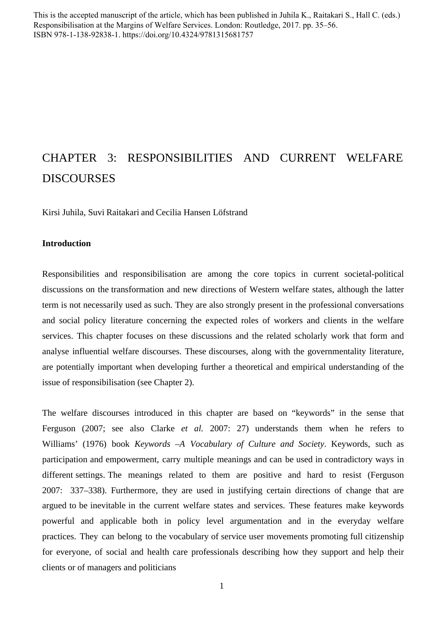This is the accepted manuscript of the article, which has been published in Juhila K., Raitakari S., Hall C. (eds.) Responsibilisation at the Margins of Welfare Services. London: Routledge, 2017. pp. 35–56. ISBN 978-1-138-92838-1. https://doi.org/10.4324/9781315681757

# CHAPTER 3: RESPONSIBILITIES AND CURRENT WELFARE DISCOURSES

Kirsi Juhila, Suvi Raitakari and Cecilia Hansen Löfstrand

# **Introduction**

Responsibilities and responsibilisation are among the core topics in current societal-political discussions on the transformation and new directions of Western welfare states, although the latter term is not necessarily used as such. They are also strongly present in the professional conversations and social policy literature concerning the expected roles of workers and clients in the welfare services. This chapter focuses on these discussions and the related scholarly work that form and analyse influential welfare discourses. These discourses, along with the governmentality literature, are potentially important when developing further a theoretical and empirical understanding of the issue of responsibilisation (see Chapter 2).

The welfare discourses introduced in this chapter are based on "keywords" in the sense that Ferguson (2007; see also Clarke *et al.* 2007: 27) understands them when he refers to Williams' (1976) book *Keywords –A Vocabulary of Culture and Society*. Keywords, such as participation and empowerment, carry multiple meanings and can be used in contradictory ways in different settings. The meanings related to them are positive and hard to resist (Ferguson 2007: 337–338). Furthermore, they are used in justifying certain directions of change that are argued to be inevitable in the current welfare states and services. These features make keywords powerful and applicable both in policy level argumentation and in the everyday welfare practices. They can belong to the vocabulary of service user movements promoting full citizenship for everyone, of social and health care professionals describing how they support and help their clients or of managers and politicians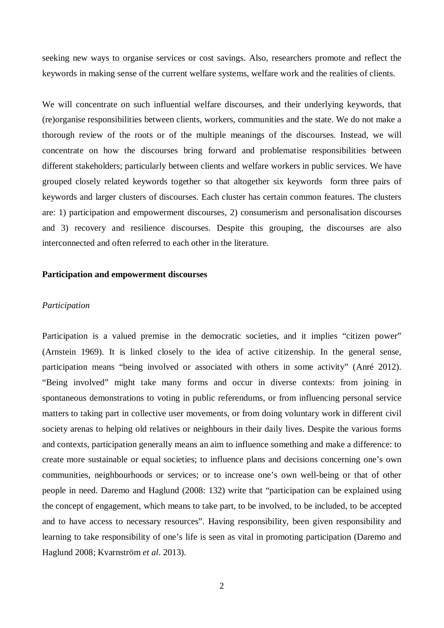seeking new ways to organise services or cost savings. Also, researchers promote and reflect the keywords in making sense of the current welfare systems, welfare work and the realities of clients.

We will concentrate on such influential welfare discourses, and their underlying keywords, that (re)organise responsibilities between clients, workers, communities and the state. We do not make a thorough review of the roots or of the multiple meanings of the discourses. Instead, we will concentrate on how the discourses bring forward and problematise responsibilities between different stakeholders; particularly between clients and welfare workers in public services. We have grouped closely related keywords together so that altogether six keywords form three pairs of keywords and larger clusters of discourses. Each cluster has certain common features. The clusters are: 1) participation and empowerment discourses, 2) consumerism and personalisation discourses and 3) recovery and resilience discourses. Despite this grouping, the discourses are also interconnected and often referred to each other in the literature.

## **Participation and empowerment discourses**

## *Participation*

Participation is a valued premise in the democratic societies, and it implies "citizen power" (Arnstein 1969). It is linked closely to the idea of active citizenship. In the general sense, participation means "being involved or associated with others in some activity" (Anré 2012). "Being involved" might take many forms and occur in diverse contexts: from joining in spontaneous demonstrations to voting in public referendums, or from influencing personal service matters to taking part in collective user movements, or from doing voluntary work in different civil society arenas to helping old relatives or neighbours in their daily lives. Despite the various forms and contexts, participation generally means an aim to influence something and make a difference: to create more sustainable or equal societies; to influence plans and decisions concerning one's own communities, neighbourhoods or services; or to increase one's own well-being or that of other people in need. Daremo and Haglund (2008: 132) write that "participation can be explained using the concept of engagement, which means to take part, to be involved, to be included, to be accepted and to have access to necessary resources". Having responsibility, been given responsibility and learning to take responsibility of one's life is seen as vital in promoting participation (Daremo and Haglund 2008; Kvarnström *et al*. 2013).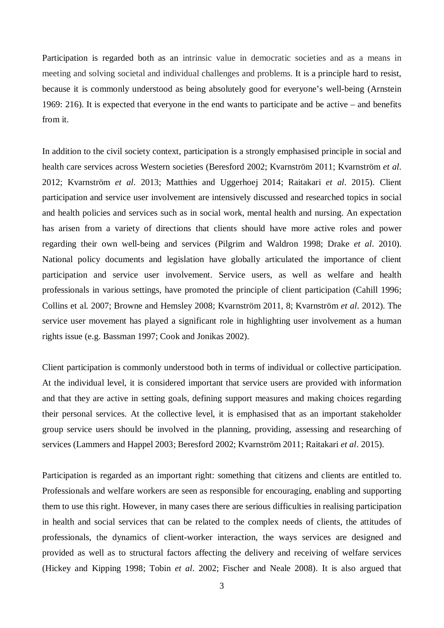Participation is regarded both as an intrinsic value in democratic societies and as a means in meeting and solving societal and individual challenges and problems. It is a principle hard to resist, because it is commonly understood as being absolutely good for everyone's well-being (Arnstein 1969: 216). It is expected that everyone in the end wants to participate and be active – and benefits from it.

In addition to the civil society context, participation is a strongly emphasised principle in social and health care services across Western societies (Beresford 2002; Kvarnström 2011; Kvarnström *et al*. 2012; Kvarnström *et al*. 2013; Matthies and Uggerhoej 2014; Raitakari *et al*. 2015). Client participation and service user involvement are intensively discussed and researched topics in social and health policies and services such as in social work, mental health and nursing. An expectation has arisen from a variety of directions that clients should have more active roles and power regarding their own well-being and services (Pilgrim and Waldron 1998; Drake *et al*. 2010). National policy documents and legislation have globally articulated the importance of client participation and service user involvement. Service users, as well as welfare and health professionals in various settings, have promoted the principle of client participation (Cahill 1996; Collins et al. 2007; Browne and Hemsley 2008; Kvarnström 2011, 8; Kvarnström *et al*. 2012). The service user movement has played a significant role in highlighting user involvement as a human rights issue (e.g. Bassman 1997; Cook and Jonikas 2002).

Client participation is commonly understood both in terms of individual or collective participation. At the individual level, it is considered important that service users are provided with information and that they are active in setting goals, defining support measures and making choices regarding their personal services. At the collective level, it is emphasised that as an important stakeholder group service users should be involved in the planning, providing, assessing and researching of services (Lammers and Happel 2003; Beresford 2002; Kvarnström 2011; Raitakari *et al*. 2015).

Participation is regarded as an important right: something that citizens and clients are entitled to. Professionals and welfare workers are seen as responsible for encouraging, enabling and supporting them to use this right. However, in many cases there are serious difficulties in realising participation in health and social services that can be related to the complex needs of clients, the attitudes of professionals, the dynamics of client-worker interaction, the ways services are designed and provided as well as to structural factors affecting the delivery and receiving of welfare services (Hickey and Kipping 1998; Tobin *et al*. 2002; Fischer and Neale 2008). It is also argued that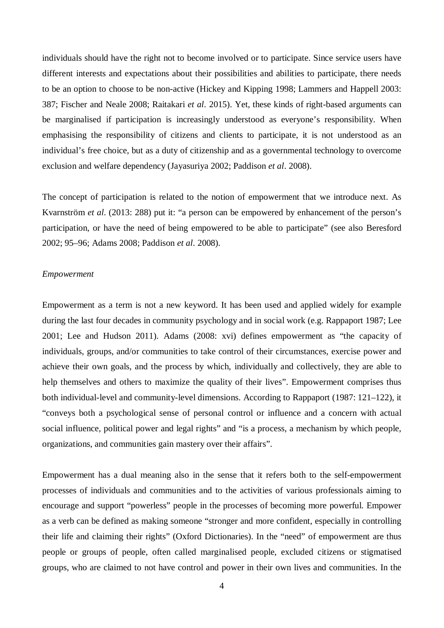individuals should have the right not to become involved or to participate. Since service users have different interests and expectations about their possibilities and abilities to participate, there needs to be an option to choose to be non-active (Hickey and Kipping 1998; Lammers and Happell 2003: 387; Fischer and Neale 2008; Raitakari *et al*. 2015). Yet, these kinds of right-based arguments can be marginalised if participation is increasingly understood as everyone's responsibility. When emphasising the responsibility of citizens and clients to participate, it is not understood as an individual's free choice, but as a duty of citizenship and as a governmental technology to overcome exclusion and welfare dependency (Jayasuriya 2002; Paddison *et al*. 2008).

The concept of participation is related to the notion of empowerment that we introduce next. As Kvarnström *et al*. (2013: 288) put it: "a person can be empowered by enhancement of the person's participation, or have the need of being empowered to be able to participate" (see also Beresford 2002; 95–96; Adams 2008; Paddison *et al*. 2008).

## *Empowerment*

Empowerment as a term is not a new keyword. It has been used and applied widely for example during the last four decades in community psychology and in social work (e.g. Rappaport 1987; Lee 2001; Lee and Hudson 2011). Adams (2008: xvi) defines empowerment as "the capacity of individuals, groups, and/or communities to take control of their circumstances, exercise power and achieve their own goals, and the process by which, individually and collectively, they are able to help themselves and others to maximize the quality of their lives". Empowerment comprises thus both individual-level and community-level dimensions. According to Rappaport (1987: 121–122), it "conveys both a psychological sense of personal control or influence and a concern with actual social influence, political power and legal rights" and "is a process, a mechanism by which people, organizations, and communities gain mastery over their affairs".

Empowerment has a dual meaning also in the sense that it refers both to the self-empowerment processes of individuals and communities and to the activities of various professionals aiming to encourage and support "powerless" people in the processes of becoming more powerful. Empower as a verb can be defined as making someone "stronger and more confident, especially in controlling their life and claiming their rights" (Oxford Dictionaries). In the "need" of empowerment are thus people or groups of people, often called marginalised people, excluded citizens or stigmatised groups, who are claimed to not have control and power in their own lives and communities. In the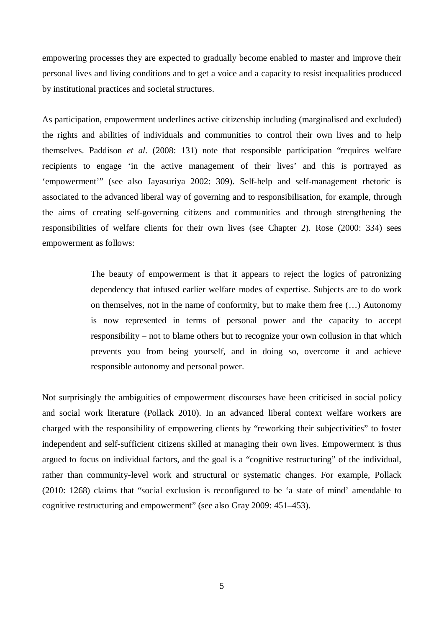empowering processes they are expected to gradually become enabled to master and improve their personal lives and living conditions and to get a voice and a capacity to resist inequalities produced by institutional practices and societal structures.

As participation, empowerment underlines active citizenship including (marginalised and excluded) the rights and abilities of individuals and communities to control their own lives and to help themselves. Paddison *et al*. (2008: 131) note that responsible participation "requires welfare recipients to engage 'in the active management of their lives' and this is portrayed as 'empowerment'" (see also Jayasuriya 2002: 309). Self-help and self-management rhetoric is associated to the advanced liberal way of governing and to responsibilisation, for example, through the aims of creating self-governing citizens and communities and through strengthening the responsibilities of welfare clients for their own lives (see Chapter 2). Rose (2000: 334) sees empowerment as follows:

> The beauty of empowerment is that it appears to reject the logics of patronizing dependency that infused earlier welfare modes of expertise. Subjects are to do work on themselves, not in the name of conformity, but to make them free (…) Autonomy is now represented in terms of personal power and the capacity to accept responsibility – not to blame others but to recognize your own collusion in that which prevents you from being yourself, and in doing so, overcome it and achieve responsible autonomy and personal power.

Not surprisingly the ambiguities of empowerment discourses have been criticised in social policy and social work literature (Pollack 2010). In an advanced liberal context welfare workers are charged with the responsibility of empowering clients by "reworking their subjectivities" to foster independent and self-sufficient citizens skilled at managing their own lives. Empowerment is thus argued to focus on individual factors, and the goal is a "cognitive restructuring" of the individual, rather than community-level work and structural or systematic changes. For example, Pollack (2010: 1268) claims that "social exclusion is reconfigured to be 'a state of mind' amendable to cognitive restructuring and empowerment" (see also Gray 2009: 451–453).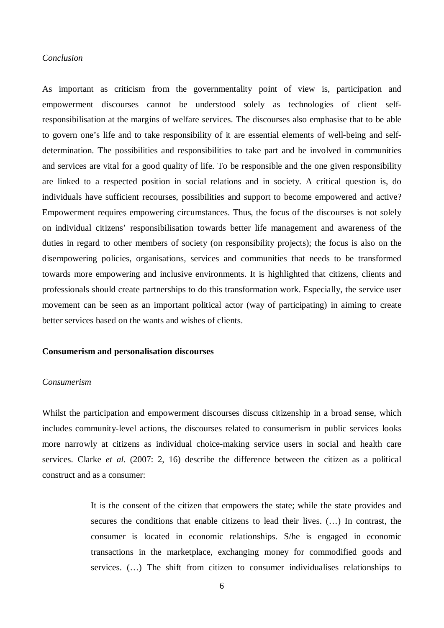## *Conclusion*

As important as criticism from the governmentality point of view is, participation and empowerment discourses cannot be understood solely as technologies of client selfresponsibilisation at the margins of welfare services. The discourses also emphasise that to be able to govern one's life and to take responsibility of it are essential elements of well-being and selfdetermination. The possibilities and responsibilities to take part and be involved in communities and services are vital for a good quality of life. To be responsible and the one given responsibility are linked to a respected position in social relations and in society. A critical question is, do individuals have sufficient recourses, possibilities and support to become empowered and active? Empowerment requires empowering circumstances. Thus, the focus of the discourses is not solely on individual citizens' responsibilisation towards better life management and awareness of the duties in regard to other members of society (on responsibility projects); the focus is also on the disempowering policies, organisations, services and communities that needs to be transformed towards more empowering and inclusive environments. It is highlighted that citizens, clients and professionals should create partnerships to do this transformation work. Especially, the service user movement can be seen as an important political actor (way of participating) in aiming to create better services based on the wants and wishes of clients.

## **Consumerism and personalisation discourses**

## *Consumerism*

Whilst the participation and empowerment discourses discuss citizenship in a broad sense, which includes community-level actions, the discourses related to consumerism in public services looks more narrowly at citizens as individual choice-making service users in social and health care services. Clarke *et al*. (2007: 2, 16) describe the difference between the citizen as a political construct and as a consumer:

> It is the consent of the citizen that empowers the state; while the state provides and secures the conditions that enable citizens to lead their lives. (…) In contrast, the consumer is located in economic relationships. S/he is engaged in economic transactions in the marketplace, exchanging money for commodified goods and services. (…) The shift from citizen to consumer individualises relationships to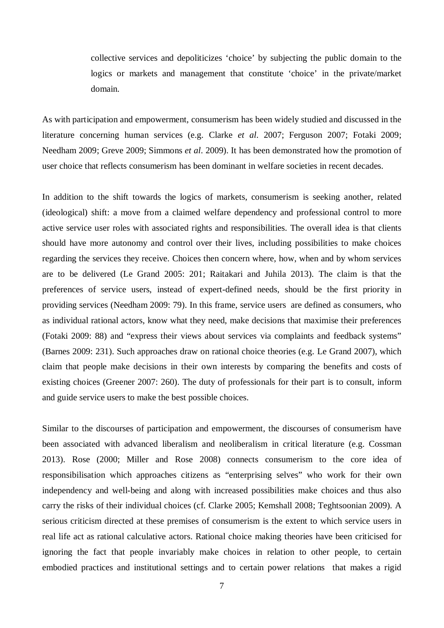collective services and depoliticizes 'choice' by subjecting the public domain to the logics or markets and management that constitute 'choice' in the private/market domain.

As with participation and empowerment, consumerism has been widely studied and discussed in the literature concerning human services (e.g. Clarke *et al*. 2007; Ferguson 2007; Fotaki 2009; Needham 2009; Greve 2009; Simmons *et al*. 2009). It has been demonstrated how the promotion of user choice that reflects consumerism has been dominant in welfare societies in recent decades.

In addition to the shift towards the logics of markets, consumerism is seeking another, related (ideological) shift: a move from a claimed welfare dependency and professional control to more active service user roles with associated rights and responsibilities. The overall idea is that clients should have more autonomy and control over their lives, including possibilities to make choices regarding the services they receive. Choices then concern where, how, when and by whom services are to be delivered (Le Grand 2005: 201; Raitakari and Juhila 2013). The claim is that the preferences of service users, instead of expert-defined needs, should be the first priority in providing services (Needham 2009: 79). In this frame, service users are defined as consumers, who as individual rational actors, know what they need, make decisions that maximise their preferences (Fotaki 2009: 88) and "express their views about services via complaints and feedback systems" (Barnes 2009: 231). Such approaches draw on rational choice theories (e.g. Le Grand 2007), which claim that people make decisions in their own interests by comparing the benefits and costs of existing choices (Greener 2007: 260). The duty of professionals for their part is to consult, inform and guide service users to make the best possible choices.

Similar to the discourses of participation and empowerment, the discourses of consumerism have been associated with advanced liberalism and neoliberalism in critical literature (e.g. Cossman 2013). Rose (2000; Miller and Rose 2008) connects consumerism to the core idea of responsibilisation which approaches citizens as "enterprising selves" who work for their own independency and well-being and along with increased possibilities make choices and thus also carry the risks of their individual choices (cf. Clarke 2005; Kemshall 2008; Teghtsoonian 2009). A serious criticism directed at these premises of consumerism is the extent to which service users in real life act as rational calculative actors. Rational choice making theories have been criticised for ignoring the fact that people invariably make choices in relation to other people, to certain embodied practices and institutional settings and to certain power relations that makes a rigid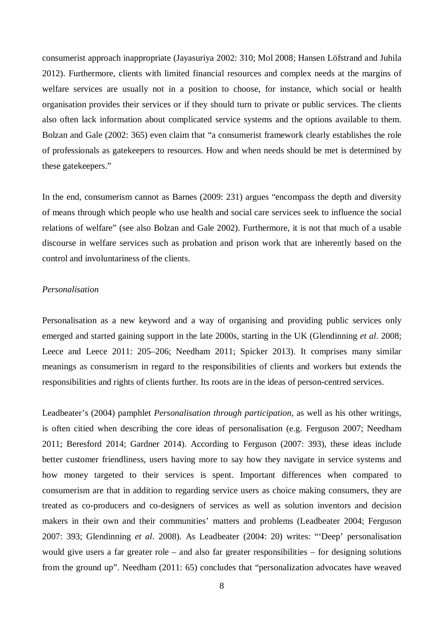consumerist approach inappropriate (Jayasuriya 2002: 310; Mol 2008; Hansen Löfstrand and Juhila 2012). Furthermore, clients with limited financial resources and complex needs at the margins of welfare services are usually not in a position to choose, for instance, which social or health organisation provides their services or if they should turn to private or public services. The clients also often lack information about complicated service systems and the options available to them. Bolzan and Gale (2002: 365) even claim that "a consumerist framework clearly establishes the role of professionals as gatekeepers to resources. How and when needs should be met is determined by these gatekeepers."

In the end, consumerism cannot as Barnes (2009: 231) argues "encompass the depth and diversity of means through which people who use health and social care services seek to influence the social relations of welfare" (see also Bolzan and Gale 2002). Furthermore, it is not that much of a usable discourse in welfare services such as probation and prison work that are inherently based on the control and involuntariness of the clients.

# *Personalisation*

Personalisation as a new keyword and a way of organising and providing public services only emerged and started gaining support in the late 2000s, starting in the UK (Glendinning *et al*. 2008; Leece and Leece 2011: 205–206; Needham 2011; Spicker 2013). It comprises many similar meanings as consumerism in regard to the responsibilities of clients and workers but extends the responsibilities and rights of clients further. Its roots are in the ideas of person-centred services.

Leadbeater's (2004) pamphlet *Personalisation through participation*, as well as his other writings, is often citied when describing the core ideas of personalisation (e.g. Ferguson 2007; Needham 2011; Beresford 2014; Gardner 2014). According to Ferguson (2007: 393), these ideas include better customer friendliness, users having more to say how they navigate in service systems and how money targeted to their services is spent. Important differences when compared to consumerism are that in addition to regarding service users as choice making consumers, they are treated as co-producers and co-designers of services as well as solution inventors and decision makers in their own and their communities' matters and problems (Leadbeater 2004; Ferguson 2007: 393; Glendinning *et al*. 2008). As Leadbeater (2004: 20) writes: "'Deep' personalisation would give users a far greater role – and also far greater responsibilities – for designing solutions from the ground up". Needham (2011: 65) concludes that "personalization advocates have weaved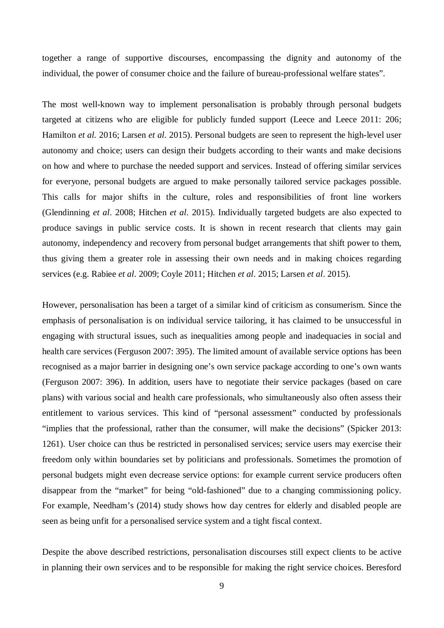together a range of supportive discourses, encompassing the dignity and autonomy of the individual, the power of consumer choice and the failure of bureau-professional welfare states".

The most well-known way to implement personalisation is probably through personal budgets targeted at citizens who are eligible for publicly funded support (Leece and Leece 2011: 206; Hamilton *et al.* 2016; Larsen *et al*. 2015). Personal budgets are seen to represent the high-level user autonomy and choice; users can design their budgets according to their wants and make decisions on how and where to purchase the needed support and services. Instead of offering similar services for everyone, personal budgets are argued to make personally tailored service packages possible. This calls for major shifts in the culture, roles and responsibilities of front line workers (Glendinning *et al*. 2008; Hitchen *et al*. 2015). Individually targeted budgets are also expected to produce savings in public service costs. It is shown in recent research that clients may gain autonomy, independency and recovery from personal budget arrangements that shift power to them, thus giving them a greater role in assessing their own needs and in making choices regarding services (e.g. Rabiee *et al*. 2009; Coyle 2011; Hitchen *et al*. 2015; Larsen *et al*. 2015).

However, personalisation has been a target of a similar kind of criticism as consumerism. Since the emphasis of personalisation is on individual service tailoring, it has claimed to be unsuccessful in engaging with structural issues, such as inequalities among people and inadequacies in social and health care services (Ferguson 2007: 395). The limited amount of available service options has been recognised as a major barrier in designing one's own service package according to one's own wants (Ferguson 2007: 396). In addition, users have to negotiate their service packages (based on care plans) with various social and health care professionals, who simultaneously also often assess their entitlement to various services. This kind of "personal assessment" conducted by professionals "implies that the professional, rather than the consumer, will make the decisions" (Spicker 2013: 1261). User choice can thus be restricted in personalised services; service users may exercise their freedom only within boundaries set by politicians and professionals. Sometimes the promotion of personal budgets might even decrease service options: for example current service producers often disappear from the "market" for being "old-fashioned" due to a changing commissioning policy. For example, Needham's (2014) study shows how day centres for elderly and disabled people are seen as being unfit for a personalised service system and a tight fiscal context.

Despite the above described restrictions, personalisation discourses still expect clients to be active in planning their own services and to be responsible for making the right service choices. Beresford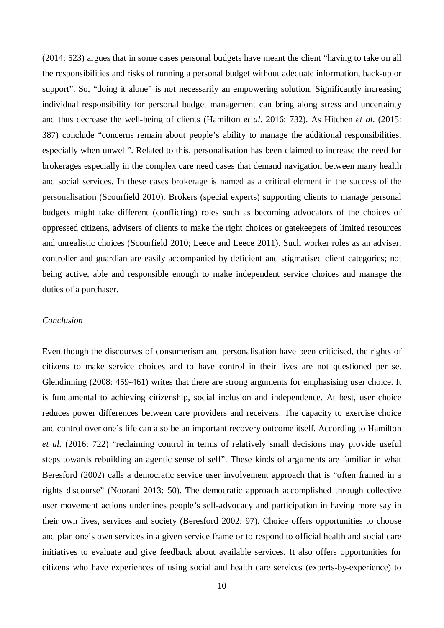(2014: 523) argues that in some cases personal budgets have meant the client "having to take on all the responsibilities and risks of running a personal budget without adequate information, back-up or support". So, "doing it alone" is not necessarily an empowering solution. Significantly increasing individual responsibility for personal budget management can bring along stress and uncertainty and thus decrease the well-being of clients (Hamilton *et al*. 2016: 732). As Hitchen *et al*. (2015: 387) conclude "concerns remain about people's ability to manage the additional responsibilities, especially when unwell". Related to this, personalisation has been claimed to increase the need for brokerages especially in the complex care need cases that demand navigation between many health and social services. In these cases brokerage is named as a critical element in the success of the personalisation (Scourfield 2010). Brokers (special experts) supporting clients to manage personal budgets might take different (conflicting) roles such as becoming advocators of the choices of oppressed citizens, advisers of clients to make the right choices or gatekeepers of limited resources and unrealistic choices (Scourfield 2010; Leece and Leece 2011). Such worker roles as an adviser, controller and guardian are easily accompanied by deficient and stigmatised client categories; not being active, able and responsible enough to make independent service choices and manage the duties of a purchaser.

#### *Conclusion*

Even though the discourses of consumerism and personalisation have been criticised, the rights of citizens to make service choices and to have control in their lives are not questioned per se. Glendinning (2008: 459-461) writes that there are strong arguments for emphasising user choice. It is fundamental to achieving citizenship, social inclusion and independence. At best, user choice reduces power differences between care providers and receivers. The capacity to exercise choice and control over one's life can also be an important recovery outcome itself. According to Hamilton et al. (2016: 722) "reclaiming control in terms of relatively small decisions may provide useful steps towards rebuilding an agentic sense of self". These kinds of arguments are familiar in what Beresford (2002) calls a democratic service user involvement approach that is "often framed in a rights discourse" (Noorani 2013: 50). The democratic approach accomplished through collective user movement actions underlines people's self-advocacy and participation in having more say in their own lives, services and society (Beresford 2002: 97). Choice offers opportunities to choose and plan one's own services in a given service frame or to respond to official health and social care initiatives to evaluate and give feedback about available services. It also offers opportunities for citizens who have experiences of using social and health care services (experts-by-experience) to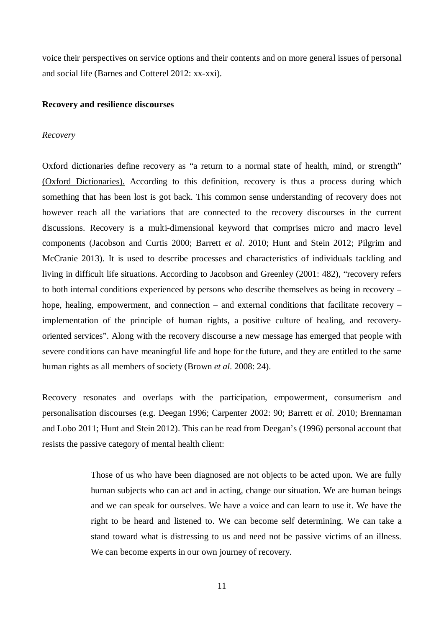voice their perspectives on service options and their contents and on more general issues of personal and social life (Barnes and Cotterel 2012: xx-xxi).

## **Recovery and resilience discourses**

#### *Recovery*

Oxford dictionaries define recovery as "a return to a normal state of health, mind, or strength" (Oxford Dictionaries). According to this definition, recovery is thus a process during which something that has been lost is got back. This common sense understanding of recovery does not however reach all the variations that are connected to the recovery discourses in the current discussions. Recovery is a multi-dimensional keyword that comprises micro and macro level components (Jacobson and Curtis 2000; Barrett *et al*. 2010; Hunt and Stein 2012; Pilgrim and McCranie 2013). It is used to describe processes and characteristics of individuals tackling and living in difficult life situations. According to Jacobson and Greenley (2001: 482), "recovery refers to both internal conditions experienced by persons who describe themselves as being in recovery – hope, healing, empowerment, and connection – and external conditions that facilitate recovery – implementation of the principle of human rights, a positive culture of healing, and recoveryoriented services". Along with the recovery discourse a new message has emerged that people with severe conditions can have meaningful life and hope for the future, and they are entitled to the same human rights as all members of society (Brown *et al*. 2008: 24).

Recovery resonates and overlaps with the participation, empowerment, consumerism and personalisation discourses (e.g. Deegan 1996; Carpenter 2002: 90; Barrett *et al*. 2010; Brennaman and Lobo 2011; Hunt and Stein 2012). This can be read from Deegan's (1996) personal account that resists the passive category of mental health client:

> Those of us who have been diagnosed are not objects to be acted upon. We are fully human subjects who can act and in acting, change our situation. We are human beings and we can speak for ourselves. We have a voice and can learn to use it. We have the right to be heard and listened to. We can become self determining. We can take a stand toward what is distressing to us and need not be passive victims of an illness. We can become experts in our own journey of recovery.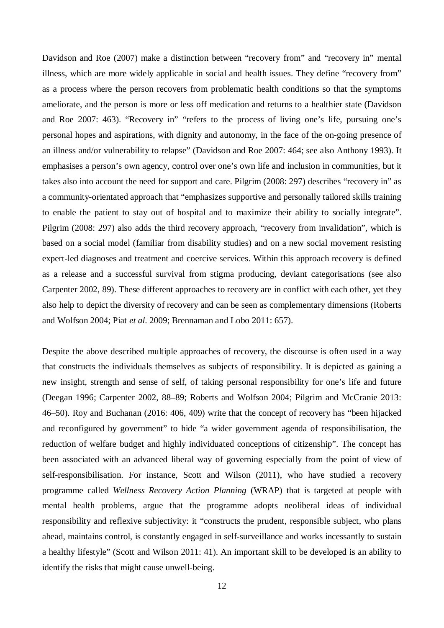Davidson and Roe (2007) make a distinction between "recovery from" and "recovery in" mental illness, which are more widely applicable in social and health issues. They define "recovery from" as a process where the person recovers from problematic health conditions so that the symptoms ameliorate, and the person is more or less off medication and returns to a healthier state (Davidson and Roe 2007: 463). "Recovery in" "refers to the process of living one's life, pursuing one's personal hopes and aspirations, with dignity and autonomy, in the face of the on-going presence of an illness and/or vulnerability to relapse" (Davidson and Roe 2007: 464; see also Anthony 1993). It emphasises a person's own agency, control over one's own life and inclusion in communities, but it takes also into account the need for support and care. Pilgrim (2008: 297) describes "recovery in" as a community-orientated approach that "emphasizes supportive and personally tailored skills training to enable the patient to stay out of hospital and to maximize their ability to socially integrate". Pilgrim (2008: 297) also adds the third recovery approach, "recovery from invalidation", which is based on a social model (familiar from disability studies) and on a new social movement resisting expert-led diagnoses and treatment and coercive services. Within this approach recovery is defined as a release and a successful survival from stigma producing, deviant categorisations (see also Carpenter 2002, 89). These different approaches to recovery are in conflict with each other, yet they also help to depict the diversity of recovery and can be seen as complementary dimensions (Roberts and Wolfson 2004; Piat *et al*. 2009; Brennaman and Lobo 2011: 657).

Despite the above described multiple approaches of recovery, the discourse is often used in a way that constructs the individuals themselves as subjects of responsibility. It is depicted as gaining a new insight, strength and sense of self, of taking personal responsibility for one's life and future (Deegan 1996; Carpenter 2002, 88–89; Roberts and Wolfson 2004; Pilgrim and McCranie 2013: 46–50). Roy and Buchanan (2016: 406, 409) write that the concept of recovery has "been hijacked and reconfigured by government" to hide "a wider government agenda of responsibilisation, the reduction of welfare budget and highly individuated conceptions of citizenship". The concept has been associated with an advanced liberal way of governing especially from the point of view of self-responsibilisation. For instance, Scott and Wilson (2011), who have studied a recovery programme called *Wellness Recovery Action Planning* (WRAP) that is targeted at people with mental health problems, argue that the programme adopts neoliberal ideas of individual responsibility and reflexive subjectivity: it "constructs the prudent, responsible subject, who plans ahead, maintains control, is constantly engaged in self-surveillance and works incessantly to sustain a healthy lifestyle" (Scott and Wilson 2011: 41). An important skill to be developed is an ability to identify the risks that might cause unwell-being.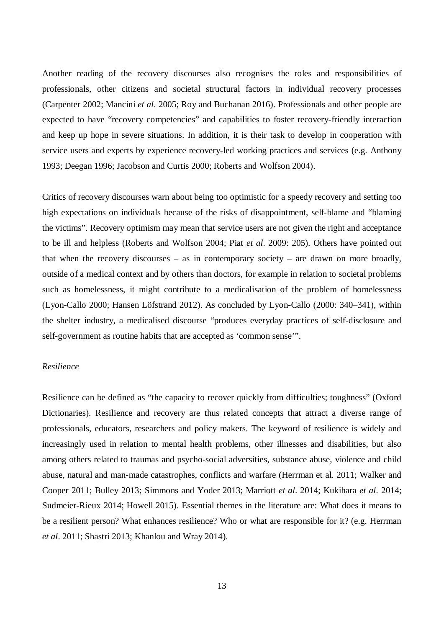Another reading of the recovery discourses also recognises the roles and responsibilities of professionals, other citizens and societal structural factors in individual recovery processes (Carpenter 2002; Mancini *et al*. 2005; Roy and Buchanan 2016). Professionals and other people are expected to have "recovery competencies" and capabilities to foster recovery-friendly interaction and keep up hope in severe situations. In addition, it is their task to develop in cooperation with service users and experts by experience recovery-led working practices and services (e.g. Anthony 1993; Deegan 1996; Jacobson and Curtis 2000; Roberts and Wolfson 2004).

Critics of recovery discourses warn about being too optimistic for a speedy recovery and setting too high expectations on individuals because of the risks of disappointment, self-blame and "blaming the victims". Recovery optimism may mean that service users are not given the right and acceptance to be ill and helpless (Roberts and Wolfson 2004; Piat *et al*. 2009: 205). Others have pointed out that when the recovery discourses – as in contemporary society – are drawn on more broadly, outside of a medical context and by others than doctors, for example in relation to societal problems such as homelessness, it might contribute to a medicalisation of the problem of homelessness (Lyon-Callo 2000; Hansen Löfstrand 2012). As concluded by Lyon-Callo (2000: 340–341), within the shelter industry, a medicalised discourse "produces everyday practices of self-disclosure and self-government as routine habits that are accepted as 'common sense'".

## *Resilience*

Resilience can be defined as "the capacity to recover quickly from difficulties; toughness" (Oxford Dictionaries). Resilience and recovery are thus related concepts that attract a diverse range of professionals, educators, researchers and policy makers. The keyword of resilience is widely and increasingly used in relation to mental health problems, other illnesses and disabilities, but also among others related to traumas and psycho-social adversities, substance abuse, violence and child abuse, natural and man-made catastrophes, conflicts and warfare (Herrman et al. 2011; Walker and Cooper 2011; Bulley 2013; Simmons and Yoder 2013; Marriott *et al*. 2014; Kukihara *et al*. 2014; Sudmeier-Rieux 2014; Howell 2015). Essential themes in the literature are: What does it means to be a resilient person? What enhances resilience? Who or what are responsible for it? (e.g. Herrman *et al*. 2011; Shastri 2013; Khanlou and Wray 2014).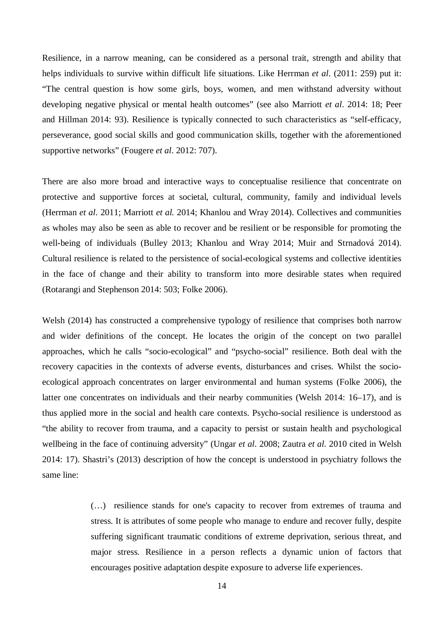Resilience, in a narrow meaning, can be considered as a personal trait, strength and ability that helps individuals to survive within difficult life situations. Like Herrman *et al*. (2011: 259) put it: "The central question is how some girls, boys, women, and men withstand adversity without developing negative physical or mental health outcomes" (see also Marriott *et al*. 2014: 18; Peer and Hillman 2014: 93). Resilience is typically connected to such characteristics as "self-efficacy, perseverance, good social skills and good communication skills, together with the aforementioned supportive networks" (Fougere *et al*. 2012: 707).

There are also more broad and interactive ways to conceptualise resilience that concentrate on protective and supportive forces at societal, cultural, community, family and individual levels (Herrman *et al*. 2011; Marriott *et al.* 2014; Khanlou and Wray 2014). Collectives and communities as wholes may also be seen as able to recover and be resilient or be responsible for promoting the well-being of individuals (Bulley 2013; Khanlou and Wray 2014; Muir and Strnadová 2014). Cultural resilience is related to the persistence of social-ecological systems and collective identities in the face of change and their ability to transform into more desirable states when required (Rotarangi and Stephenson 2014: 503; Folke 2006).

Welsh (2014) has constructed a comprehensive typology of resilience that comprises both narrow and wider definitions of the concept. He locates the origin of the concept on two parallel approaches, which he calls "socio-ecological" and "psycho-social" resilience. Both deal with the recovery capacities in the contexts of adverse events, disturbances and crises. Whilst the socioecological approach concentrates on larger environmental and human systems (Folke 2006), the latter one concentrates on individuals and their nearby communities (Welsh 2014: 16–17), and is thus applied more in the social and health care contexts. Psycho-social resilience is understood as "the ability to recover from trauma, and a capacity to persist or sustain health and psychological wellbeing in the face of continuing adversity" (Ungar *et al*. 2008; Zautra *et al*. 2010 cited in Welsh 2014: 17). Shastri's (2013) description of how the concept is understood in psychiatry follows the same line:

> (…) resilience stands for one's capacity to recover from extremes of trauma and stress. It is attributes of some people who manage to endure and recover fully, despite suffering significant traumatic conditions of extreme deprivation, serious threat, and major stress. Resilience in a person reflects a dynamic union of factors that encourages positive adaptation despite exposure to adverse life experiences.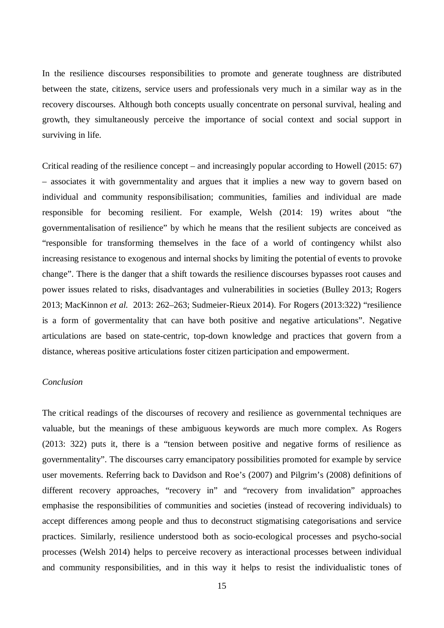In the resilience discourses responsibilities to promote and generate toughness are distributed between the state, citizens, service users and professionals very much in a similar way as in the recovery discourses. Although both concepts usually concentrate on personal survival, healing and growth, they simultaneously perceive the importance of social context and social support in surviving in life.

Critical reading of the resilience concept – and increasingly popular according to Howell (2015: 67) – associates it with governmentality and argues that it implies a new way to govern based on individual and community responsibilisation; communities, families and individual are made responsible for becoming resilient. For example, Welsh (2014: 19) writes about "the governmentalisation of resilience" by which he means that the resilient subjects are conceived as "responsible for transforming themselves in the face of a world of contingency whilst also increasing resistance to exogenous and internal shocks by limiting the potential of events to provoke change". There is the danger that a shift towards the resilience discourses bypasses root causes and power issues related to risks, disadvantages and vulnerabilities in societies (Bulley 2013; Rogers 2013; MacKinnon *et al.* 2013: 262–263; Sudmeier-Rieux 2014). For Rogers (2013:322) "resilience is a form of govermentality that can have both positive and negative articulations". Negative articulations are based on state-centric, top-down knowledge and practices that govern from a distance, whereas positive articulations foster citizen participation and empowerment.

## *Conclusion*

The critical readings of the discourses of recovery and resilience as governmental techniques are valuable, but the meanings of these ambiguous keywords are much more complex. As Rogers (2013: 322) puts it, there is a "tension between positive and negative forms of resilience as governmentality". The discourses carry emancipatory possibilities promoted for example by service user movements. Referring back to Davidson and Roe's (2007) and Pilgrim's (2008) definitions of different recovery approaches, "recovery in" and "recovery from invalidation" approaches emphasise the responsibilities of communities and societies (instead of recovering individuals) to accept differences among people and thus to deconstruct stigmatising categorisations and service practices. Similarly, resilience understood both as socio-ecological processes and psycho-social processes (Welsh 2014) helps to perceive recovery as interactional processes between individual and community responsibilities, and in this way it helps to resist the individualistic tones of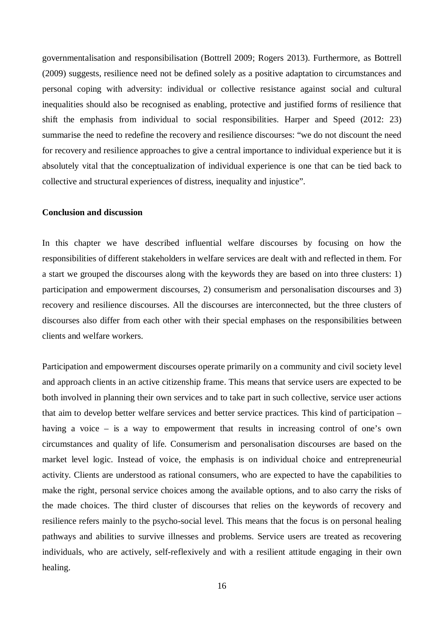governmentalisation and responsibilisation (Bottrell 2009; Rogers 2013). Furthermore, as Bottrell (2009) suggests, resilience need not be defined solely as a positive adaptation to circumstances and personal coping with adversity: individual or collective resistance against social and cultural inequalities should also be recognised as enabling, protective and justified forms of resilience that shift the emphasis from individual to social responsibilities. Harper and Speed (2012: 23) summarise the need to redefine the recovery and resilience discourses: "we do not discount the need for recovery and resilience approaches to give a central importance to individual experience but it is absolutely vital that the conceptualization of individual experience is one that can be tied back to collective and structural experiences of distress, inequality and injustice".

# **Conclusion and discussion**

In this chapter we have described influential welfare discourses by focusing on how the responsibilities of different stakeholders in welfare services are dealt with and reflected in them. For a start we grouped the discourses along with the keywords they are based on into three clusters: 1) participation and empowerment discourses, 2) consumerism and personalisation discourses and 3) recovery and resilience discourses. All the discourses are interconnected, but the three clusters of discourses also differ from each other with their special emphases on the responsibilities between clients and welfare workers.

Participation and empowerment discourses operate primarily on a community and civil society level and approach clients in an active citizenship frame. This means that service users are expected to be both involved in planning their own services and to take part in such collective, service user actions that aim to develop better welfare services and better service practices. This kind of participation – having a voice – is a way to empowerment that results in increasing control of one's own circumstances and quality of life. Consumerism and personalisation discourses are based on the market level logic. Instead of voice, the emphasis is on individual choice and entrepreneurial activity. Clients are understood as rational consumers, who are expected to have the capabilities to make the right, personal service choices among the available options, and to also carry the risks of the made choices. The third cluster of discourses that relies on the keywords of recovery and resilience refers mainly to the psycho-social level. This means that the focus is on personal healing pathways and abilities to survive illnesses and problems. Service users are treated as recovering individuals, who are actively, self-reflexively and with a resilient attitude engaging in their own healing.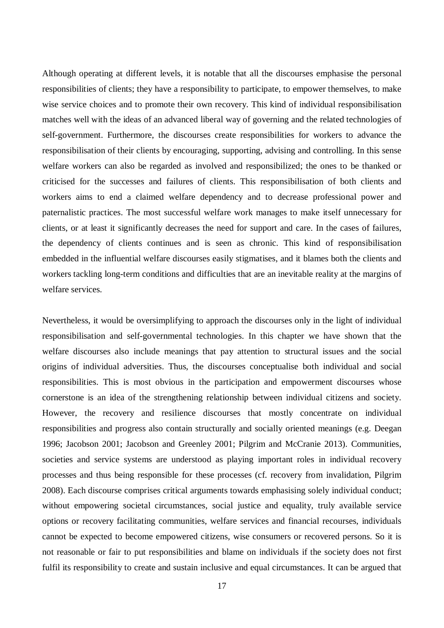Although operating at different levels, it is notable that all the discourses emphasise the personal responsibilities of clients; they have a responsibility to participate, to empower themselves, to make wise service choices and to promote their own recovery. This kind of individual responsibilisation matches well with the ideas of an advanced liberal way of governing and the related technologies of self-government. Furthermore, the discourses create responsibilities for workers to advance the responsibilisation of their clients by encouraging, supporting, advising and controlling. In this sense welfare workers can also be regarded as involved and responsibilized; the ones to be thanked or criticised for the successes and failures of clients. This responsibilisation of both clients and workers aims to end a claimed welfare dependency and to decrease professional power and paternalistic practices. The most successful welfare work manages to make itself unnecessary for clients, or at least it significantly decreases the need for support and care. In the cases of failures, the dependency of clients continues and is seen as chronic. This kind of responsibilisation embedded in the influential welfare discourses easily stigmatises, and it blames both the clients and workers tackling long-term conditions and difficulties that are an inevitable reality at the margins of welfare services.

Nevertheless, it would be oversimplifying to approach the discourses only in the light of individual responsibilisation and self-governmental technologies. In this chapter we have shown that the welfare discourses also include meanings that pay attention to structural issues and the social origins of individual adversities. Thus, the discourses conceptualise both individual and social responsibilities. This is most obvious in the participation and empowerment discourses whose cornerstone is an idea of the strengthening relationship between individual citizens and society. However, the recovery and resilience discourses that mostly concentrate on individual responsibilities and progress also contain structurally and socially oriented meanings (e.g. Deegan 1996; Jacobson 2001; Jacobson and Greenley 2001; Pilgrim and McCranie 2013). Communities, societies and service systems are understood as playing important roles in individual recovery processes and thus being responsible for these processes (cf. recovery from invalidation, Pilgrim 2008). Each discourse comprises critical arguments towards emphasising solely individual conduct; without empowering societal circumstances, social justice and equality, truly available service options or recovery facilitating communities, welfare services and financial recourses, individuals cannot be expected to become empowered citizens, wise consumers or recovered persons. So it is not reasonable or fair to put responsibilities and blame on individuals if the society does not first fulfil its responsibility to create and sustain inclusive and equal circumstances. It can be argued that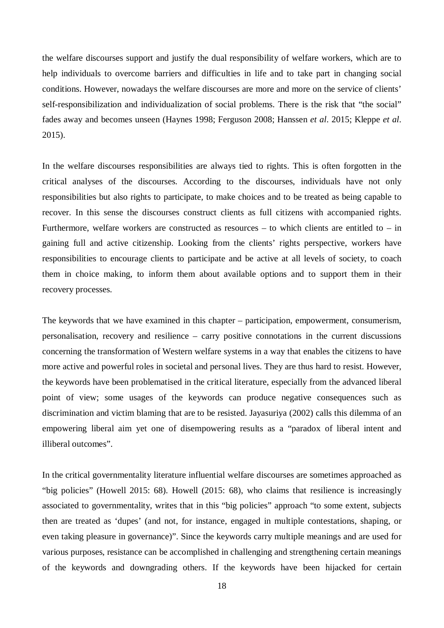the welfare discourses support and justify the dual responsibility of welfare workers, which are to help individuals to overcome barriers and difficulties in life and to take part in changing social conditions. However, nowadays the welfare discourses are more and more on the service of clients' self-responsibilization and individualization of social problems. There is the risk that "the social" fades away and becomes unseen (Haynes 1998; Ferguson 2008; Hanssen *et al*. 2015; Kleppe *et al*. 2015).

In the welfare discourses responsibilities are always tied to rights. This is often forgotten in the critical analyses of the discourses. According to the discourses, individuals have not only responsibilities but also rights to participate, to make choices and to be treated as being capable to recover. In this sense the discourses construct clients as full citizens with accompanied rights. Furthermore, welfare workers are constructed as resources – to which clients are entitled to – in gaining full and active citizenship. Looking from the clients' rights perspective, workers have responsibilities to encourage clients to participate and be active at all levels of society, to coach them in choice making, to inform them about available options and to support them in their recovery processes.

The keywords that we have examined in this chapter – participation, empowerment, consumerism, personalisation, recovery and resilience – carry positive connotations in the current discussions concerning the transformation of Western welfare systems in a way that enables the citizens to have more active and powerful roles in societal and personal lives. They are thus hard to resist. However, the keywords have been problematised in the critical literature, especially from the advanced liberal point of view; some usages of the keywords can produce negative consequences such as discrimination and victim blaming that are to be resisted. Jayasuriya (2002) calls this dilemma of an empowering liberal aim yet one of disempowering results as a "paradox of liberal intent and illiberal outcomes".

In the critical governmentality literature influential welfare discourses are sometimes approached as "big policies" (Howell 2015: 68). Howell (2015: 68), who claims that resilience is increasingly associated to governmentality, writes that in this "big policies" approach "to some extent, subjects then are treated as 'dupes' (and not, for instance, engaged in multiple contestations, shaping, or even taking pleasure in governance)". Since the keywords carry multiple meanings and are used for various purposes, resistance can be accomplished in challenging and strengthening certain meanings of the keywords and downgrading others. If the keywords have been hijacked for certain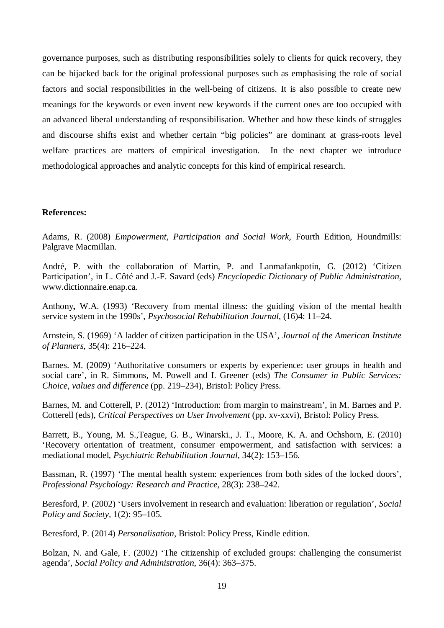governance purposes, such as distributing responsibilities solely to clients for quick recovery, they can be hijacked back for the original professional purposes such as emphasising the role of social factors and social responsibilities in the well-being of citizens. It is also possible to create new meanings for the keywords or even invent new keywords if the current ones are too occupied with an advanced liberal understanding of responsibilisation. Whether and how these kinds of struggles and discourse shifts exist and whether certain "big policies" are dominant at grass-roots level welfare practices are matters of empirical investigation. In the next chapter we introduce methodological approaches and analytic concepts for this kind of empirical research.

# **References:**

Adams, R. (2008) *Empowerment, Participation and Social Work,* Fourth Edition, Houndmills: Palgrave Macmillan.

André, P. with the collaboration of Martin, P. and Lanmafankpotin, G. (2012) 'Citizen Participation', in L. Côté and J.-F. Savard (eds) *Encyclopedic Dictionary of Public Administration*, www.dictionnaire.enap.ca.

Anthony**,** W.A. (1993) 'Recovery from mental illness: the guiding vision of the mental health service system in the 1990s', *Psychosocial Rehabilitation Journal*, (16)4: 11–24.

Arnstein, S. (1969) 'A ladder of citizen participation in the USA', *Journal of the American Institute of Planners*, 35(4): 216–224.

Barnes. M. (2009) 'Authoritative consumers or experts by experience: user groups in health and social care', in R. Simmons, M. Powell and I. Greener (eds) *The Consumer in Public Services: Choice, values and difference* (pp. 219–234), Bristol: Policy Press.

Barnes, M. and Cotterell, P. (2012) 'Introduction: from margin to mainstream', in M. Barnes and P. Cotterell (eds), *Critical Perspectives on User Involvement* (pp. xv-xxvi), Bristol: Policy Press.

Barrett, B., Young, M. S.,Teague, G. B., Winarski., J. T., Moore, K. A. and Ochshorn, E. (2010) 'Recovery orientation of treatment, consumer empowerment, and satisfaction with services: a mediational model, *Psychiatric Rehabilitation Journal,* 34(2): 153–156.

Bassman, R. (1997) 'The mental health system: experiences from both sides of the locked doors', *Professional Psychology: Research and Practice,* 28(3): 238–242.

Beresford, P. (2002) 'Users involvement in research and evaluation: liberation or regulation', *Social Policy and Society,* 1(2): 95–105.

Beresford, P. (2014) *Personalisation*, Bristol: Policy Press, Kindle edition.

Bolzan, N. and Gale, F. (2002) 'The citizenship of excluded groups: challenging the consumerist agenda', *Social Policy and Administration*, 36(4): 363–375.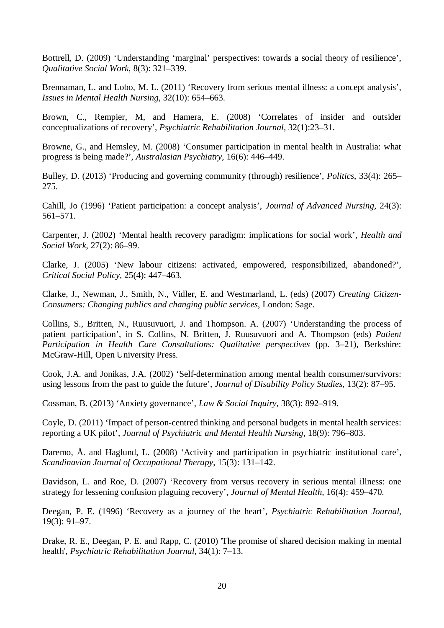Bottrell, D. (2009) 'Understanding 'marginal' perspectives: towards a social theory of resilience', *Qualitative Social Work*, 8(3): 321–339.

Brennaman, L. and Lobo, M. L. (2011) 'Recovery from serious mental illness: a concept analysis', *Issues in Mental Health Nursing*, 32(10): 654–663.

Brown, C., Rempier, M, and Hamera, E. (2008) 'Correlates of insider and outsider conceptualizations of recovery', *Psychiatric Rehabilitation Journal,* 32(1):23–31.

Browne, G., and Hemsley, M. (2008) 'Consumer participation in mental health in Australia: what progress is being made?', *Australasian Psychiatry,* 16(6): 446–449.

Bulley, D. (2013) 'Producing and governing community (through) resilience', *Politics*, 33(4): 265– 275.

Cahill, Jo (1996) 'Patient participation: a concept analysis', *Journal of Advanced Nursing,* 24(3): 561–571.

Carpenter, J. (2002) 'Mental health recovery paradigm: implications for social work', *Health and Social Work*, 27(2): 86–99.

Clarke, J. (2005) 'New labour citizens: activated, empowered, responsibilized, abandoned?', *Critical Social Policy,* 25(4): 447–463.

Clarke, J., Newman, J., Smith, N., Vidler, E. and Westmarland, L. (eds) (2007) *Creating Citizen-Consumers: Changing publics and changing public services*, London: Sage.

Collins, S., Britten, N., Ruusuvuori, J. and Thompson. A. (2007) 'Understanding the process of patient participation', in S. Collins, N. Britten, J. Ruusuvuori and A. Thompson (eds) *Patient Participation in Health Care Consultations: Qualitative perspectives* (pp. 3–21), Berkshire: McGraw-Hill, Open University Press.

Cook, J.A. and Jonikas, J.A. (2002) 'Self-determination among mental health consumer/survivors: using lessons from the past to guide the future', *Journal of Disability Policy Studies*, 13(2): 87–95.

Cossman, B. (2013) 'Anxiety governance', *Law & Social Inquiry,* 38(3): 892–919.

Coyle, D. (2011) 'Impact of person-centred thinking and personal budgets in mental health services: reporting a UK pilot', *Journal of Psychiatric and Mental Health Nursing*, 18(9): 796–803.

Daremo, Å. and Haglund, L. (2008) 'Activity and participation in psychiatric institutional care', *Scandinavian Journal of Occupational Therapy*, 15(3): 131–142.

Davidson, L. and Roe, D. (2007) 'Recovery from versus recovery in serious mental illness: one strategy for lessening confusion plaguing recovery', *Journal of Mental Health,* 16(4): 459–470.

Deegan, P. E. (1996) 'Recovery as a journey of the heart', *Psychiatric Rehabilitation Journal*, 19(3): 91–97.

Drake, R. E., Deegan, P. E. and Rapp, C. (2010) 'The promise of shared decision making in mental health', *Psychiatric Rehabilitation Journal*, 34(1): 7–13.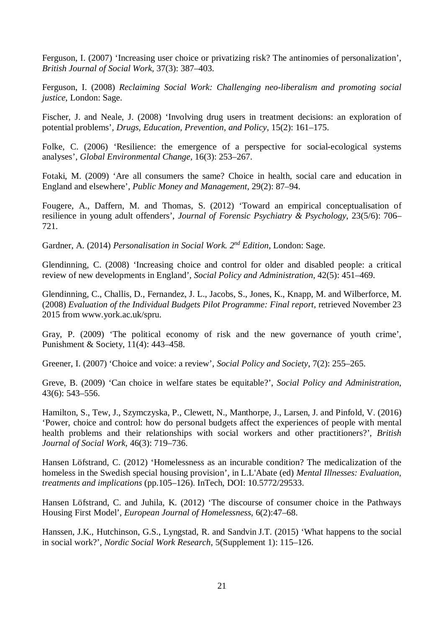Ferguson, I. (2007) 'Increasing user choice or privatizing risk? The antinomies of personalization', *British Journal of Social Work,* 37(3): 387–403.

Ferguson, I. (2008) *Reclaiming Social Work: Challenging neo-liberalism and promoting social justice*, London: Sage.

Fischer, J. and Neale, J. (2008) 'Involving drug users in treatment decisions: an exploration of potential problems', *Drugs, Education, Prevention, and Policy*, 15(2): 161–175.

Folke, C. (2006) 'Resilience: the emergence of a perspective for social-ecological systems analyses', *Global Environmental Change,* 16(3): 253–267.

Fotaki, M. (2009) 'Are all consumers the same? Choice in health, social care and education in England and elsewhere', *Public Money and Management*, 29(2): 87–94.

Fougere, A., Daffern, M. and Thomas, S. (2012) 'Toward an empirical conceptualisation of resilience in young adult offenders', *Journal of Forensic Psychiatry & Psychology*, 23(5/6): 706– 721.

Gardner, A. (2014) *Personalisation in Social Work. 2nd Edition*, London: Sage.

Glendinning, C. (2008) 'Increasing choice and control for older and disabled people: a critical review of new developments in England', *Social Policy and Administration*, 42(5): 451–469.

Glendinning, C., Challis, D., Fernandez, J. L., Jacobs, S., Jones, K., Knapp, M. and Wilberforce, M. (2008) *Evaluation of the Individual Budgets Pilot Programme: Final report*, retrieved November 23 2015 from www.york.ac.uk/spru.

Gray, P. (2009) 'The political economy of risk and the new governance of youth crime', Punishment & Society, 11(4): 443–458.

Greener, I. (2007) 'Choice and voice: a review', *Social Policy and Society*, 7(2): 255–265.

Greve, B. (2009) 'Can choice in welfare states be equitable?', *Social Policy and Administration*, 43(6): 543–556.

Hamilton, S., Tew, J., Szymczyska, P., Clewett, N., Manthorpe, J., Larsen, J. and Pinfold, V. (2016) 'Power, choice and control: how do personal budgets affect the experiences of people with mental health problems and their relationships with social workers and other practitioners?', *British Journal of Social Work*, 46(3): 719–736.

Hansen Löfstrand, C. (2012) 'Homelessness as an incurable condition? The medicalization of the homeless in the Swedish special housing provision', in L.L'Abate (ed) *Mental Illnesses: Evaluation, treatments and implications* (pp.105–126). InTech, DOI: 10.5772/29533.

Hansen Löfstrand, C. and Juhila, K. (2012) 'The discourse of consumer choice in the Pathways Housing First Model', *European Journal of Homelessness*, 6(2):47–68.

Hanssen, J.K., Hutchinson, G.S., Lyngstad, R. and Sandvin J.T. (2015) 'What happens to the social in social work?', *Nordic Social Work Research*, 5(Supplement 1): 115–126.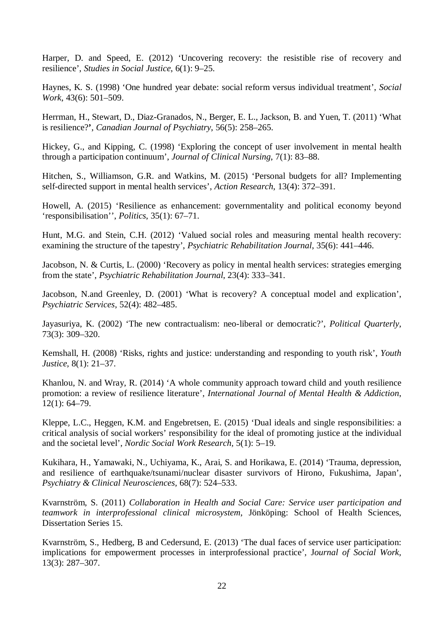Harper, D. and Speed, E. (2012) 'Uncovering recovery: the resistible rise of recovery and resilience', *Studies in Social Justice*, 6(1): 9–25.

Haynes, K. S. (1998) 'One hundred year debate: social reform versus individual treatment', *Social Work*, 43(6): 501–509.

Herrman, H., Stewart, D., Diaz-Granados, N., Berger, E. L., Jackson, B. and Yuen, T. (2011) 'What is resilience?**'**, *Canadian Journal of Psychiatry*, 56(5): 258–265.

Hickey, G., and Kipping, C. (1998) 'Exploring the concept of user involvement in mental health through a participation continuum', *Journal of Clinical Nursing*, 7(1): 83–88.

Hitchen, S., Williamson, G.R. and Watkins, M. (2015) 'Personal budgets for all? Implementing self-directed support in mental health services', *Action Research*, 13(4): 372–391.

Howell, A. (2015) 'Resilience as enhancement: governmentality and political economy beyond 'responsibilisation'', *Politics*, 35(1): 67–71.

Hunt, M.G. and Stein, C.H. (2012) 'Valued social roles and measuring mental health recovery: examining the structure of the tapestry', *Psychiatric Rehabilitation Journal*, 35(6): 441–446.

Jacobson, N. & Curtis, L. (2000) 'Recovery as policy in mental health services: strategies emerging from the state', *Psychiatric Rehabilitation Journal*, 23(4): 333–341.

Jacobson, N.and Greenley, D. (2001) 'What is recovery? A conceptual model and explication', *Psychiatric Services*, 52(4): 482–485.

Jayasuriya, K. (2002) 'The new contractualism: neo-liberal or democratic?', *Political Quarterly*, 73(3): 309–320.

Kemshall, H. (2008) 'Risks, rights and justice: understanding and responding to youth risk', *Youth Justice,* 8(1): 21–37.

Khanlou, N. and Wray, R. (2014) 'A whole community approach toward child and youth resilience promotion: a review of resilience literature', *International Journal of Mental Health & Addiction*, 12(1): 64–79.

Kleppe, L.C., Heggen, K.M. and Engebretsen, E. (2015) 'Dual ideals and single responsibilities: a critical analysis of social workers' responsibility for the ideal of promoting justice at the individual and the societal level', *Nordic Social Work Research,* 5(1): 5–19.

Kukihara, H., Yamawaki, N., Uchiyama, K., Arai, S. and Horikawa, E. (2014) 'Trauma, depression, and resilience of earthquake/tsunami/nuclear disaster survivors of Hirono, Fukushima, Japan', *Psychiatry & Clinical Neurosciences,* 68(7): 524–533.

Kvarnström, S. (2011) *Collaboration in Health and Social Care: Service user participation and teamwork in interprofessional clinical microsystem*, Jönköping: School of Health Sciences, Dissertation Series 15.

Kvarnström, S., Hedberg, B and Cedersund, E. (2013) 'The dual faces of service user participation: implications for empowerment processes in interprofessional practice', J*ournal of Social Work,* 13(3): 287–307.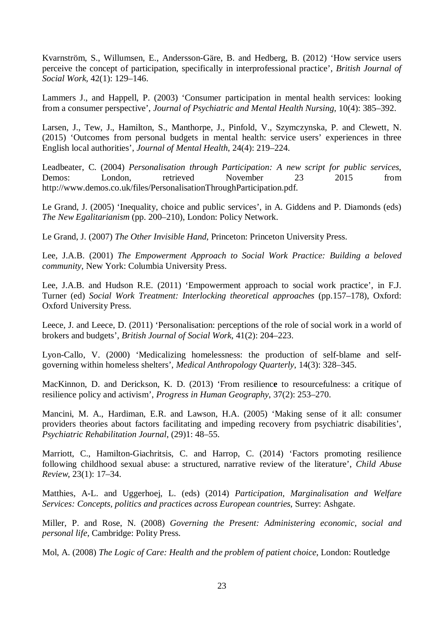Kvarnström, S., Willumsen, E., Andersson-Gäre, B. and Hedberg, B. (2012) 'How service users perceive the concept of participation, specifically in interprofessional practice', *British Journal of Social Work,* 42(1): 129–146.

Lammers J., and Happell, P. (2003) 'Consumer participation in mental health services: looking from a consumer perspective', *Journal of Psychiatric and Mental Health Nursing,* 10(4): 385–392.

Larsen, J., Tew, J., Hamilton, S., Manthorpe, J., Pinfold, V., Szymczynska, P. and Clewett, N. (2015) 'Outcomes from personal budgets in mental health: service users' experiences in three English local authorities', *Journal of Mental Health*, 24(4): 219–224.

Leadbeater, C. (2004) *Personalisation through Participation: A new script for public services*, Demos: London, retrieved November 23 2015 from http://www.demos.co.uk/files/PersonalisationThroughParticipation.pdf.

Le Grand, J. (2005) 'Inequality, choice and public services', in A. Giddens and P. Diamonds (eds) *The New Egalitarianism* (pp. 200–210), London: Policy Network.

Le Grand, J. (2007) *The Other Invisible Hand*, Princeton: Princeton University Press.

Lee, J.A.B. (2001) *The Empowerment Approach to Social Work Practice: Building a beloved community*, New York: Columbia University Press.

Lee, J.A.B. and Hudson R.E. (2011) 'Empowerment approach to social work practice', in F.J. Turner (ed) *Social Work Treatment: Interlocking theoretical approaches* (pp.157–178), Oxford: Oxford University Press.

Leece, J. and Leece, D. (2011) 'Personalisation: perceptions of the role of social work in a world of brokers and budgets', *British Journal of Social Work*, 41(2): 204–223.

Lyon-Callo, V. (2000) 'Medicalizing homelessness: the production of self-blame and selfgoverning within homeless shelters', *Medical Anthropology Quarterly*, 14(3): 328–345.

MacKinnon, D. and Derickson, K. D. (2013) 'From resilienc**e** to resourcefulness: a critique of resilience policy and activism', *Progress in Human Geography*, 37(2): 253–270.

Mancini, M. A., Hardiman, E.R. and Lawson, H.A. (2005) 'Making sense of it all: consumer providers theories about factors facilitating and impeding recovery from psychiatric disabilities', *Psychiatric Rehabilitation Journal*, (29)1: 48–55.

Marriott, C., Hamilton-Giachritsis, C. and Harrop, C. (2014) 'Factors promoting resilience following childhood sexual abuse: a structured, narrative review of the literature', *Child Abuse Review*, 23(1): 17–34.

Matthies, A-L. and Uggerhoej, L. (eds) (2014) *Participation, Marginalisation and Welfare Services: Concepts, politics and practices across European countries*, Surrey: Ashgate.

Miller, P. and Rose, N. (2008) *Governing the Present: Administering economic, social and personal life*, Cambridge: Polity Press.

Mol, A. (2008) *The Logic of Care: Health and the problem of patient choice*, London: Routledge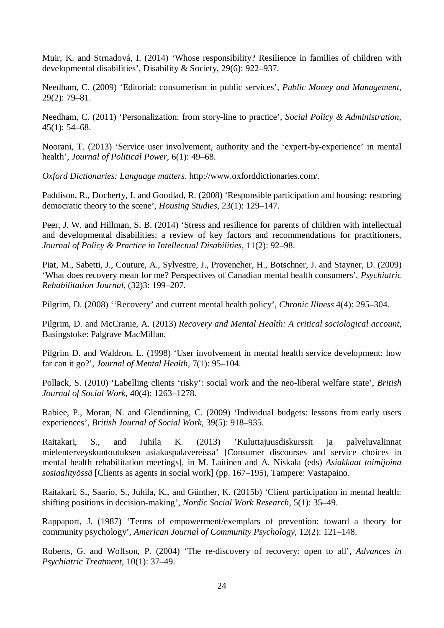Muir, K. and Strnadová, I. (2014) 'Whose responsibility? Resilience in families of children with developmental disabilities', Disability & Society, 29(6): 922–937.

Needham, C. (2009) 'Editorial: consumerism in public services', *Public Money and Management*, 29(2): 79–81.

Needham, C. (2011) 'Personalization: from story-line to practice', *Social Policy & Administration,* 45(1): 54–68.

Noorani, T. (2013) 'Service user involvement, authority and the 'expert-by-experience' in mental health', *Journal of Political Power*, 6(1): 49–68.

*Oxford Dictionaries: Language matters*. http://www.oxforddictionaries.com/.

Paddison, R., Docherty, I. and Goodlad, R. (2008) 'Responsible participation and housing: restoring democratic theory to the scene', *Housing Studies*, 23(1): 129–147.

Peer, J. W. and Hillman, S. B. (2014) 'Stress and resilience for parents of children with intellectual and developmental disabilities: a review of key factors and recommendations for practitioners, *Journal of Policy & Practice in Intellectual Disabilities*, 11(2): 92–98.

Piat, M., Sabetti, J., Couture, A., Sylvestre, J., Provencher, H., Botschner, J. and Stayner, D. (2009) 'What does recovery mean for me? Perspectives of Canadian mental health consumers', *Psychiatric Rehabilitation Journal,* (32)3: 199–207.

Pilgrim, D. (2008) ''Recovery' and current mental health policy', *Chronic Illness* 4(4): 295–304.

Pilgrim, D. and McCranie, A. (2013) *Recovery and Mental Health: A critical sociological account*, Basingstoke: Palgrave MacMillan.

Pilgrim D. and Waldron, L. (1998) 'User involvement in mental health service development: how far can it go?', *Journal of Mental Health,* 7(1): 95–104.

Pollack, S. (2010) 'Labelling clients 'risky': social work and the neo-liberal welfare state', *British Journal of Social Work*, 40(4): 1263–1278.

Rabiee, P., Moran, N. and Glendinning, C. (2009) 'Individual budgets: lessons from early users experiences', *British Journal of Social Work*, 39(5): 918–935.

Raitakari, S., and Juhila K. (2013) 'Kuluttajuusdiskurssit ja palveluvalinnat mielenterveyskuntoutuksen asiakaspalavereissa' [Consumer discourses and service choices in mental health rehabilitation meetings], in M. Laitinen and A. Niskala (eds) *Asiakkaat toimijoina sosiaalityössä* [Clients as agents in social work] (pp. 167–195), Tampere: Vastapaino.

Raitakari, S., Saario, S., Juhila, K., and Günther, K. (2015b) 'Client participation in mental health: shifting positions in decision-making', *Nordic Social Work Research*, 5(1): 35–49.

Rappaport, J. (1987) 'Terms of empowerment/exemplars of prevention: toward a theory for community psychology', *American Journal of Community Psychology*, 12(2): 121–148.

Roberts, G. and Wolfson, P. (2004) 'The re-discovery of recovery: open to all', *Advances in Psychiatric Treatment*, 10(1): 37–49.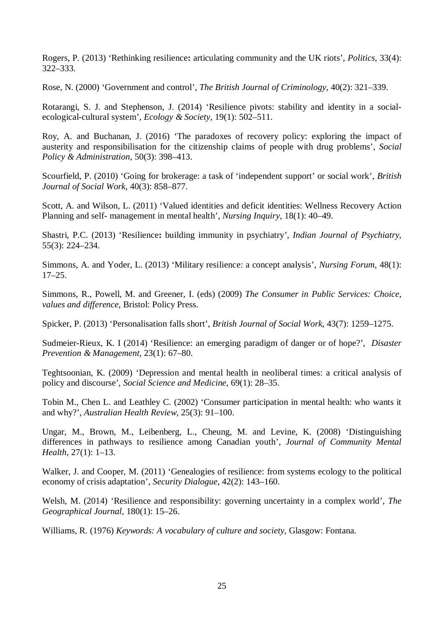Rogers, P. (2013) 'Rethinking resilience**:** articulating community and the UK riots', *Politics*, 33(4): 322–333.

Rose, N. (2000) 'Government and control', *The British Journal of Criminology*, 40(2): 321–339.

Rotarangi, S. J. and Stephenson, J. (2014) 'Resilience pivots: stability and identity in a socialecological-cultural system', *Ecology & Society*, 19(1): 502–511.

Roy, A. and Buchanan, J. (2016) 'The paradoxes of recovery policy: exploring the impact of austerity and responsibilisation for the citizenship claims of people with drug problems', *Social Policy & Administration*, 50(3): 398–413.

Scourfield, P. (2010) 'Going for brokerage: a task of 'independent support' or social work', *British Journal of Social Work*, 40(3): 858–877.

Scott, A. and Wilson, L. (2011) 'Valued identities and deficit identities: Wellness Recovery Action Planning and self- management in mental health', *Nursing Inquiry*, 18(1): 40–49.

Shastri, P.C. (2013) 'Resilience**:** building immunity in psychiatry', *Indian Journal of Psychiatry*, 55(3): 224–234.

Simmons, A. and Yoder, L. (2013) 'Military resilience: a concept analysis', *Nursing Forum*, 48(1): 17–25.

Simmons, R., Powell, M. and Greener, I. (eds) (2009) *The Consumer in Public Services: Choice, values and difference*, Bristol: Policy Press.

Spicker, P. (2013) 'Personalisation falls short', *British Journal of Social Work*, 43(7): 1259–1275.

Sudmeier-Rieux, K. I (2014) 'Resilience: an emerging paradigm of danger or of hope?'*, Disaster Prevention & Management*, 23(1): 67–80.

Teghtsoonian, K. (2009) 'Depression and mental health in neoliberal times: a critical analysis of policy and discourse', *Social Science and Medicine,* 69(1): 28–35.

Tobin M., Chen L. and Leathley C. (2002) 'Consumer participation in mental health: who wants it and why?', *Australian Health Review,* 25(3): 91–100.

Ungar, M., Brown, M., Leibenberg, L., Cheung, M. and Levine, K. (2008) 'Distinguishing differences in pathways to resilience among Canadian youth', *Journal of Community Mental Health*, 27(1): 1–13.

Walker, J. and Cooper, M. (2011) 'Genealogies of resilience: from systems ecology to the political economy of crisis adaptation', *Security Dialogue*, 42(2): 143–160.

Welsh, M. (2014) 'Resilience and responsibility: governing uncertainty in a complex world', *The Geographical Journal,* 180(1): 15–26.

Williams, R. (1976) *Keywords: A vocabulary of culture and society*, Glasgow: Fontana.